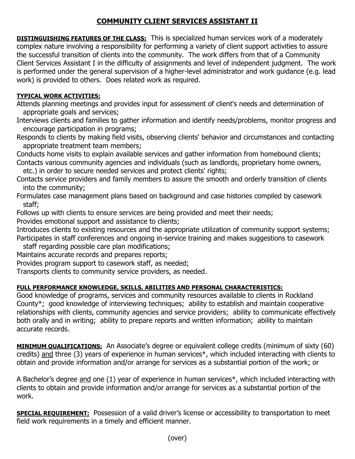## **COMMUNITY CLIENT SERVICES ASSISTANT II**

**DISTINGUISHING FEATURES OF THE CLASS:** This is specialized human services work of a moderately complex nature involving a responsibility for performing a variety of client support activities to assure the successful transition of clients into the community. The work differs from that of a Community Client Services Assistant I in the difficulty of assignments and level of independent judgment. The work is performed under the general supervision of a higher-level administrator and work guidance (e.g. lead work) is provided to others. Does related work as required.

## **TYPICAL WORK ACTIVITIES:**

Attends planning meetings and provides input for assessment of client's needs and determination of appropriate goals and services;

Interviews clients and families to gather information and identify needs/problems, monitor progress and encourage participation in programs;

Responds to clients by making field visits, observing clients' behavior and circumstances and contacting appropriate treatment team members;

Conducts home visits to explain available services and gather information from homebound clients; Contacts various community agencies and individuals (such as landlords, proprietary home owners,

etc.) in order to secure needed services and protect clients' rights;

Contacts service providers and family members to assure the smooth and orderly transition of clients into the community;

Formulates case management plans based on background and case histories compiled by casework staff;

Follows up with clients to ensure services are being provided and meet their needs;

Provides emotional support and assistance to clients;

Introduces clients to existing resources and the appropriate utilization of community support systems; Participates in staff conferences and ongoing in-service training and makes suggestions to casework

staff regarding possible care plan modifications;

Maintains accurate records and prepares reports;

Provides program support to casework staff, as needed;

Transports clients to community service providers, as needed.

## **FULL PERFORMANCE KNOWLEDGE, SKILLS, ABILITIES AND PERSONAL CHARACTERISTICS:**

Good knowledge of programs, services and community resources available to clients in Rockland County\*; good knowledge of interviewing techniques; ability to establish and maintain cooperative relationships with clients, community agencies and service providers; ability to communicate effectively both orally and in writing; ability to prepare reports and written information; ability to maintain accurate records.

**MINIMUM QUALIFICATIONS:** An Associate's degree or equivalent college credits (minimum of sixty (60) credits) and three (3) years of experience in human services\*, which included interacting with clients to obtain and provide information and/or arrange for services as a substantial portion of the work; or

A Bachelor's degree and one (1) year of experience in human services\*, which included interacting with clients to obtain and provide information and/or arrange for services as a substantial portion of the work.

**SPECIAL REQUIREMENT:** Possession of a valid driver's license or accessibility to transportation to meet field work requirements in a timely and efficient manner.